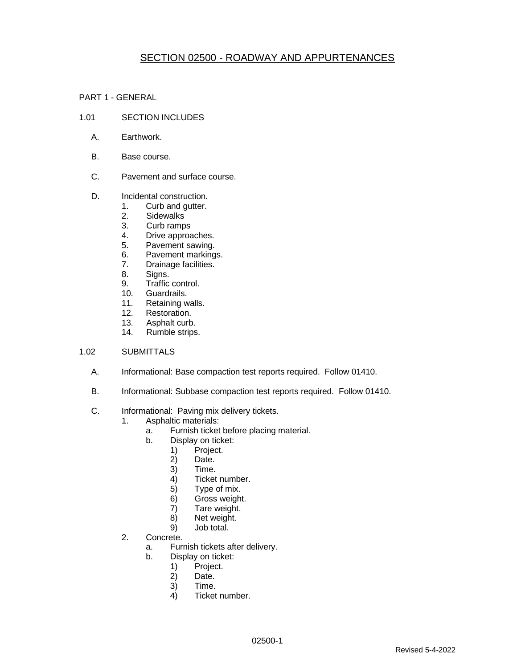# SECTION 02500 - ROADWAY AND APPURTENANCES

PART 1 - GENERAL

- 1.01 SECTION INCLUDES
	- A. Earthwork.
	- B. Base course.
	- C. Pavement and surface course.
	- D. **Incidental construction.** 
		- 1. Curb and gutter.
		- 2. Sidewalks
		- 3. Curb ramps
		- 4. Drive approaches.
		- 5. Pavement sawing.
		- 6. Pavement markings.<br>7. Drainage facilities.
		- Drainage facilities.
		- 8. Signs.
		- 9. Traffic control.
		- 10. Guardrails.
		- 11. Retaining walls.
		- 12. Restoration.
		- 13. Asphalt curb.
		- 14. Rumble strips.

### 1.02 SUBMITTALS

- A. Informational: Base compaction test reports required. Follow 01410.
- B. Informational: Subbase compaction test reports required. Follow 01410.
- C. Informational: Paving mix delivery tickets.
	- 1. Asphaltic materials:
		- a. Furnish ticket before placing material.
		- b. Display on ticket:
			- 1) Project.<br>2) Date.
				- Date.
				- 3) Time.
				- 4) Ticket number.
				- 5) Type of mix.
				- 6) Gross weight.
				- 7) Tare weight.
				- 8) Net weight.
			- 9) Job total.
	- 2. Concrete.
		- a. Furnish tickets after delivery.
		- b. Display on ticket:
			- 1) Project.<br>2) Date.
			- Date.
			- 3) Time.
			- 4) Ticket number.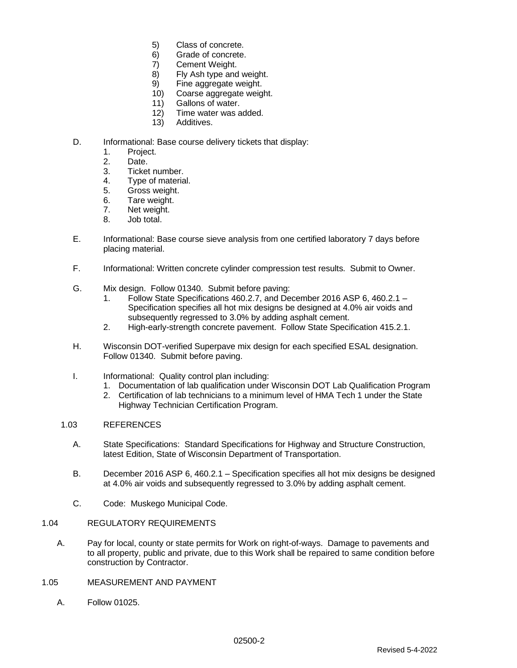- 5) Class of concrete.
- 6) Grade of concrete.
- 7) Cement Weight.
- 8) Fly Ash type and weight.
- 9) Fine aggregate weight.
- 10) Coarse aggregate weight.
- 11) Gallons of water.
- 12) Time water was added.
- 13) Additives.

### D. Informational: Base course delivery tickets that display:

- 1. Project.
- 2. Date.
- 3. Ticket number.
- 4. Type of material.<br>5. Gross weight.
- Gross weight.
- 6. Tare weight.
- 7. Net weight.
- 8. Job total.
- E. Informational: Base course sieve analysis from one certified laboratory 7 days before placing material.
- F. Informational: Written concrete cylinder compression test results. Submit to Owner.
- G. Mix design. Follow 01340. Submit before paving:
	- 1. Follow State Specifications 460.2.7, and December 2016 ASP 6, 460.2.1 Specification specifies all hot mix designs be designed at 4.0% air voids and subsequently regressed to 3.0% by adding asphalt cement.
	- 2. High-early-strength concrete pavement. Follow State Specification 415.2.1.
- H. Wisconsin DOT-verified Superpave mix design for each specified ESAL designation. Follow 01340. Submit before paving.
- I. Informational: Quality control plan including:
	- 1. Documentation of lab qualification under Wisconsin DOT Lab Qualification Program
		- 2. Certification of lab technicians to a minimum level of HMA Tech 1 under the State Highway Technician Certification Program.
- 1.03 REFERENCES
	- A. State Specifications: Standard Specifications for Highway and Structure Construction, latest Edition, State of Wisconsin Department of Transportation.
	- B. December 2016 ASP 6, 460.2.1 Specification specifies all hot mix designs be designed at 4.0% air voids and subsequently regressed to 3.0% by adding asphalt cement.
	- C. Code: Muskego Municipal Code.
- 1.04 REGULATORY REQUIREMENTS
	- A. Pay for local, county or state permits for Work on right-of-ways. Damage to pavements and to all property, public and private, due to this Work shall be repaired to same condition before construction by Contractor.
- 1.05 MEASUREMENT AND PAYMENT
	- A. Follow 01025.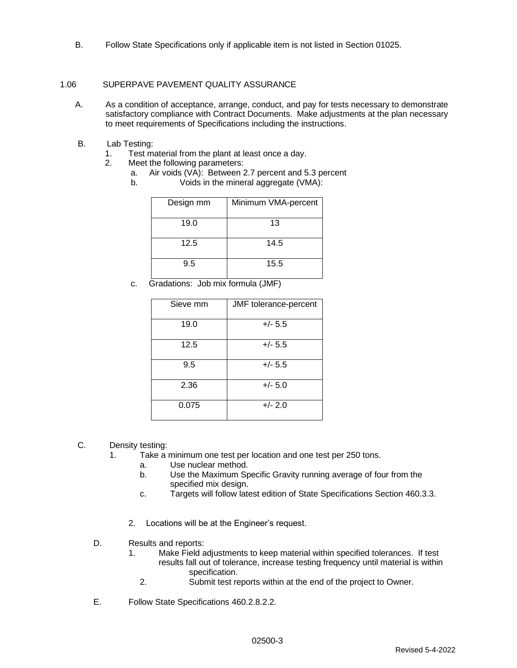B. Follow State Specifications only if applicable item is not listed in Section 01025.

### 1.06 SUPERPAVE PAVEMENT QUALITY ASSURANCE

- A. As a condition of acceptance, arrange, conduct, and pay for tests necessary to demonstrate satisfactory compliance with Contract Documents. Make adjustments at the plan necessary to meet requirements of Specifications including the instructions.
- B. Lab Testing:
	- 1. Test material from the plant at least once a day.
	- 2. Meet the following parameters:
		- a. Air voids (VA): Between 2.7 percent and 5.3 percent
		- b. Voids in the mineral aggregate (VMA):

| Design mm | Minimum VMA-percent |
|-----------|---------------------|
| 19.0      | 13                  |
| 12.5      | 14.5                |
| 9.5       | 15.5                |

c. Gradations: Job mix formula (JMF)

| Sieve mm | JMF tolerance-percent |
|----------|-----------------------|
| 19.0     | $+/- 5.5$             |
| 12.5     | $+/- 5.5$             |
| 9.5      | $+/- 5.5$             |
| 2.36     | $+/- 5.0$             |
| 0.075    | $+/- 2.0$             |

- C. Density testing:
	- 1. Take a minimum one test per location and one test per 250 tons.
		- a. Use nuclear method.
		- b. Use the Maximum Specific Gravity running average of four from the specified mix design.
		- c. Targets will follow latest edition of State Specifications Section 460.3.3.
		- 2. Locations will be at the Engineer's request.
	- D. Results and reports:
		- 1. Make Field adjustments to keep material within specified tolerances. If test results fall out of tolerance, increase testing frequency until material is within specification.
			- 2. Submit test reports within at the end of the project to Owner.
	- E. Follow State Specifications 460.2.8.2.2.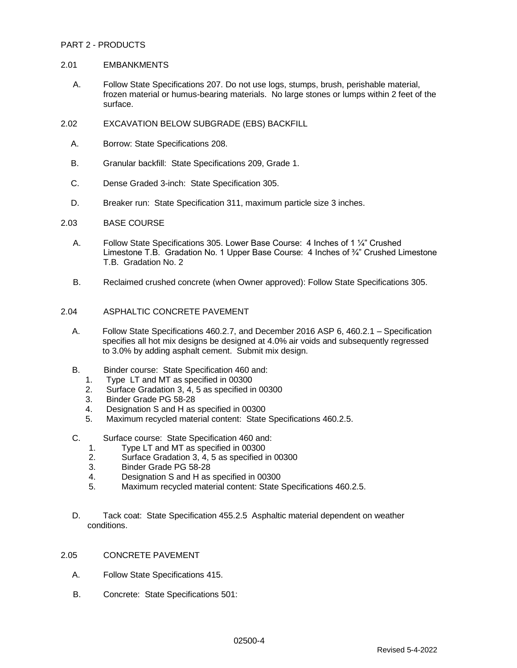### PART 2 - PRODUCTS

### 2.01 EMBANKMENTS

- A. Follow State Specifications 207. Do not use logs, stumps, brush, perishable material, frozen material or humus-bearing materials. No large stones or lumps within 2 feet of the surface.
- 2.02 EXCAVATION BELOW SUBGRADE (EBS) BACKFILL
	- A. Borrow: State Specifications 208.
	- B. Granular backfill: State Specifications 209, Grade 1.
	- C. Dense Graded 3-inch: State Specification 305.
	- D. Breaker run: State Specification 311, maximum particle size 3 inches.
- 2.03 BASE COURSE
	- A. Follow State Specifications 305. Lower Base Course: 4 Inches of 1 ¼" Crushed Limestone T.B. Gradation No. 1 Upper Base Course: 4 Inches of ¾" Crushed Limestone T.B. Gradation No. 2
	- B. Reclaimed crushed concrete (when Owner approved): Follow State Specifications 305.
- 2.04 ASPHALTIC CONCRETE PAVEMENT
	- A. Follow State Specifications 460.2.7, and December 2016 ASP 6, 460.2.1 Specification specifies all hot mix designs be designed at 4.0% air voids and subsequently regressed to 3.0% by adding asphalt cement. Submit mix design.
	- B. Binder course: State Specification 460 and:
		- 1. Type LT and MT as specified in 00300
		- 2. Surface Gradation 3, 4, 5 as specified in 00300
		- 3. Binder Grade PG 58-28
		- 4. Designation S and H as specified in 00300
		- 5. Maximum recycled material content: State Specifications 460.2.5.
	- C. Surface course: State Specification 460 and:
		- 1. Type LT and MT as specified in 00300
		- 2. Surface Gradation 3, 4, 5 as specified in 00300
		- 3. Binder Grade PG 58-28
		- 4. Designation S and H as specified in 00300
		- 5. Maximum recycled material content: State Specifications 460.2.5.
	- D. Tack coat: State Specification 455.2.5 Asphaltic material dependent on weather conditions.
- 2.05 CONCRETE PAVEMENT
	- A. Follow State Specifications 415.
	- B. Concrete: State Specifications 501: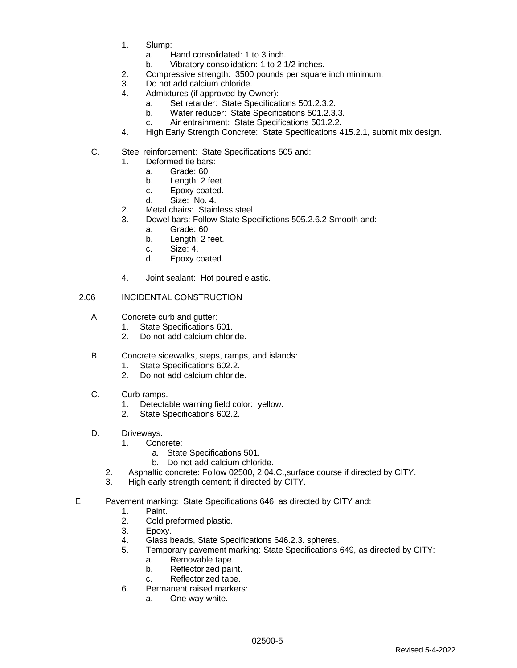- 1. Slump:
	- a. Hand consolidated: 1 to 3 inch.
		- b. Vibratory consolidation: 1 to 2 1/2 inches.
- 2. Compressive strength: 3500 pounds per square inch minimum.
- 3. Do not add calcium chloride.
- 4. Admixtures (if approved by Owner):
	- a. Set retarder: State Specifications 501.2.3.2.
	- b. Water reducer: State Specifications 501.2.3.3.
	- c. Air entrainment: State Specifications 501.2.2.
- 4. High Early Strength Concrete: State Specifications 415.2.1, submit mix design.
- C. Steel reinforcement: State Specifications 505 and:
	- 1. Deformed tie bars:
		- a. Grade: 60.
		- b. Length: 2 feet.
		- c. Epoxy coated.
		- d. Size: No. 4.
	- 2. Metal chairs: Stainless steel.
	- 3. Dowel bars: Follow State Specifictions 505.2.6.2 Smooth and:
		- a. Grade: 60.
			- b. Length: 2 feet.
			- c. Size: 4.
			- d. Epoxy coated.
	- 4. Joint sealant: Hot poured elastic.

### 2.06 INCIDENTAL CONSTRUCTION

- A. Concrete curb and gutter:
	- 1. State Specifications 601.
	- 2. Do not add calcium chloride.
- B. Concrete sidewalks, steps, ramps, and islands:
	- 1. State Specifications 602.2.
	- 2. Do not add calcium chloride.
- C. Curb ramps.
	- 1. Detectable warning field color: yellow.
	- 2. State Specifications 602.2.
- D. Driveways.
	- 1. Concrete:
		- a. State Specifications 501.
		- b. Do not add calcium chloride.
	- 2. Asphaltic concrete: Follow 02500, 2.04.C.,surface course if directed by CITY.
	- 3. High early strength cement; if directed by CITY.
- E. Pavement marking: State Specifications 646, as directed by CITY and:
	- 1. Paint.<br>2. Cold p
	- Cold preformed plastic.
	- 3. Epoxy.
	- 4. Glass beads, State Specifications 646.2.3. spheres.
	- 5. Temporary pavement marking: State Specifications 649, as directed by CITY:
		- a. Removable tape.
		- b. Reflectorized paint.
		- c. Reflectorized tape.
	- 6. Permanent raised markers:
		- a. One way white.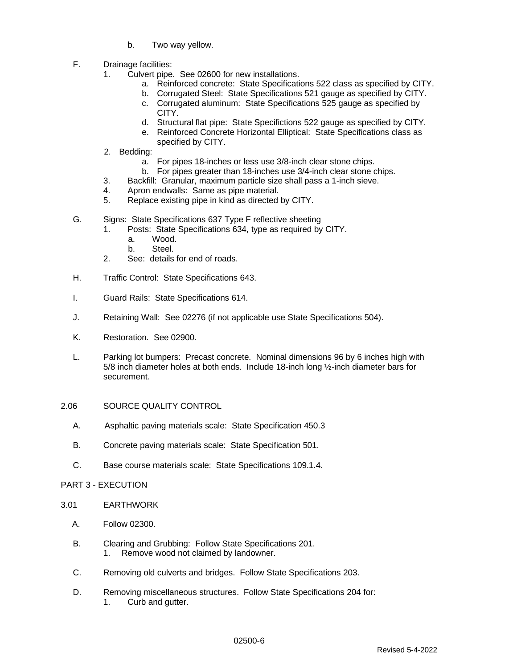- b. Two way yellow.
- F. Drainage facilities:
	- 1. Culvert pipe. See 02600 for new installations.
		- a. Reinforced concrete: State Specifications 522 class as specified by CITY.
		- b. Corrugated Steel: State Specifications 521 gauge as specified by CITY.
			- c. Corrugated aluminum: State Specifications 525 gauge as specified by CITY.
			- d. Structural flat pipe: State Specifictions 522 gauge as specified by CITY.
			- e. Reinforced Concrete Horizontal Elliptical: State Specifications class as specified by CITY.
	- 2. Bedding:
		- a. For pipes 18-inches or less use 3/8-inch clear stone chips.
		- b. For pipes greater than 18-inches use 3/4-inch clear stone chips.
	- 3. Backfill: Granular, maximum particle size shall pass a 1-inch sieve.
	- 4. Apron endwalls: Same as pipe material.
	- 5. Replace existing pipe in kind as directed by CITY.
- G. Signs: State Specifications 637 Type F reflective sheeting
	- 1. Posts: State Specifications 634, type as required by CITY.
		- a. Wood.
		- b. Steel.
	- 2. See: details for end of roads.
- H. Traffic Control: State Specifications 643.
- I. Guard Rails: State Specifications 614.
- J. Retaining Wall: See 02276 (if not applicable use State Specifications 504).
- K. Restoration. See 02900.
- L. Parking lot bumpers: Precast concrete. Nominal dimensions 96 by 6 inches high with 5/8 inch diameter holes at both ends. Include 18-inch long ½-inch diameter bars for securement.
- 2.06 SOURCE QUALITY CONTROL
	- A. Asphaltic paving materials scale: State Specification 450.3
	- B. Concrete paving materials scale: State Specification 501.
	- C. Base course materials scale: State Specifications 109.1.4.

### PART 3 - EXECUTION

- 3.01 EARTHWORK
	- A. Follow 02300.
	- B. Clearing and Grubbing: Follow State Specifications 201. 1. Remove wood not claimed by landowner.
	- C. Removing old culverts and bridges. Follow State Specifications 203.
	- D. Removing miscellaneous structures. Follow State Specifications 204 for: 1. Curb and gutter.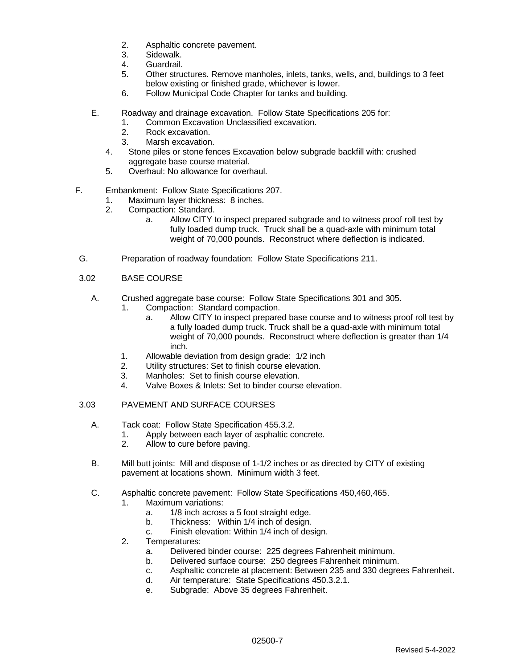- 2. Asphaltic concrete pavement.
- 3. Sidewalk.
- 4. Guardrail.
- 5. Other structures. Remove manholes, inlets, tanks, wells, and, buildings to 3 feet below existing or finished grade, whichever is lower.
- 6. Follow Municipal Code Chapter for tanks and building.
- E. Roadway and drainage excavation. Follow State Specifications 205 for:
	- 1. Common Excavation Unclassified excavation.
	- 2. Rock excavation.
	- 3. Marsh excavation.
	- 4. Stone piles or stone fences Excavation below subgrade backfill with: crushed aggregate base course material.
	- 5. Overhaul: No allowance for overhaul.
- F. Embankment: Follow State Specifications 207.
	- 1. Maximum layer thickness: 8 inches.
	- 2. Compaction: Standard.
		- a. Allow CITY to inspect prepared subgrade and to witness proof roll test by fully loaded dump truck. Truck shall be a quad-axle with minimum total weight of 70,000 pounds. Reconstruct where deflection is indicated.
- G. Preparation of roadway foundation: Follow State Specifications 211.

### 3.02 BASE COURSE

- A. Crushed aggregate base course: Follow State Specifications 301 and 305.
	- 1. Compaction: Standard compaction.
		- a. Allow CITY to inspect prepared base course and to witness proof roll test by a fully loaded dump truck. Truck shall be a quad-axle with minimum total weight of 70,000 pounds. Reconstruct where deflection is greater than 1/4 inch.
	- 1. Allowable deviation from design grade: 1/2 inch
	- 2. Utility structures: Set to finish course elevation.
	- 3. Manholes: Set to finish course elevation.
	- 4. Valve Boxes & Inlets: Set to binder course elevation.

### 3.03 PAVEMENT AND SURFACE COURSES

- A. Tack coat: Follow State Specification 455.3.2.
	- 1. Apply between each layer of asphaltic concrete.
	- 2. Allow to cure before paving.
- B. Mill butt joints: Mill and dispose of 1-1/2 inches or as directed by CITY of existing pavement at locations shown. Minimum width 3 feet.
- C. Asphaltic concrete pavement: Follow State Specifications 450,460,465.
	- 1. Maximum variations:
		- a. 1/8 inch across a 5 foot straight edge.
		- b. Thickness: Within 1/4 inch of design.
		- c. Finish elevation: Within 1/4 inch of design.
	- 2. Temperatures:
		- a. Delivered binder course: 225 degrees Fahrenheit minimum.
		- b. Delivered surface course: 250 degrees Fahrenheit minimum.
		- c. Asphaltic concrete at placement: Between 235 and 330 degrees Fahrenheit.
		- d. Air temperature: State Specifications 450.3.2.1.
		- e. Subgrade: Above 35 degrees Fahrenheit.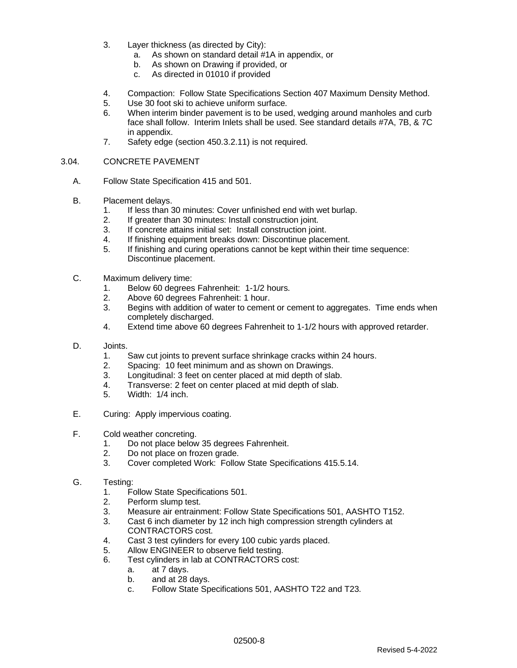- 3. Layer thickness (as directed by City):
	- a. As shown on standard detail #1A in appendix, or
	- b. As shown on Drawing if provided, or
	- c. As directed in 01010 if provided
- 4. Compaction: Follow State Specifications Section 407 Maximum Density Method.
- 5. Use 30 foot ski to achieve uniform surface.
- 6. When interim binder pavement is to be used, wedging around manholes and curb face shall follow. Interim Inlets shall be used. See standard details #7A, 7B, & 7C in appendix.
- 7. Safety edge (section 450.3.2.11) is not required.

### 3.04. CONCRETE PAVEMENT

- A. Follow State Specification 415 and 501.
- B. Placement delays.
	- 1. If less than 30 minutes: Cover unfinished end with wet burlap.
	- 2. If greater than 30 minutes: Install construction joint.
	- 3. If concrete attains initial set: Install construction joint.
	- 4. If finishing equipment breaks down: Discontinue placement.
	- 5. If finishing and curing operations cannot be kept within their time sequence: Discontinue placement.
- C. Maximum delivery time:
	- 1. Below 60 degrees Fahrenheit: 1-1/2 hours.
	- 2. Above 60 degrees Fahrenheit: 1 hour.
	- 3. Begins with addition of water to cement or cement to aggregates. Time ends when completely discharged.
	- 4. Extend time above 60 degrees Fahrenheit to 1-1/2 hours with approved retarder.
- D. Joints.
	- 1. Saw cut joints to prevent surface shrinkage cracks within 24 hours.
	- 2. Spacing: 10 feet minimum and as shown on Drawings.
	- 3. Longitudinal: 3 feet on center placed at mid depth of slab.
	- 4. Transverse: 2 feet on center placed at mid depth of slab.
	- 5. Width: 1/4 inch.
- E. Curing: Apply impervious coating.
- F. Cold weather concreting.
	- 1. Do not place below 35 degrees Fahrenheit.
	- 2. Do not place on frozen grade.
	- 3. Cover completed Work: Follow State Specifications 415.5.14.
- G. Testing:
	- 1. Follow State Specifications 501.
	- 2. Perform slump test.
	- 3. Measure air entrainment: Follow State Specifications 501, AASHTO T152.
	- 3. Cast 6 inch diameter by 12 inch high compression strength cylinders at CONTRACTORS cost.
	- 4. Cast 3 test cylinders for every 100 cubic yards placed.
	- 5. Allow ENGINEER to observe field testing.
	- 6. Test cylinders in lab at CONTRACTORS cost:
		- a. at 7 days.
		- b. and at 28 days.
		- c. Follow State Specifications 501, AASHTO T22 and T23.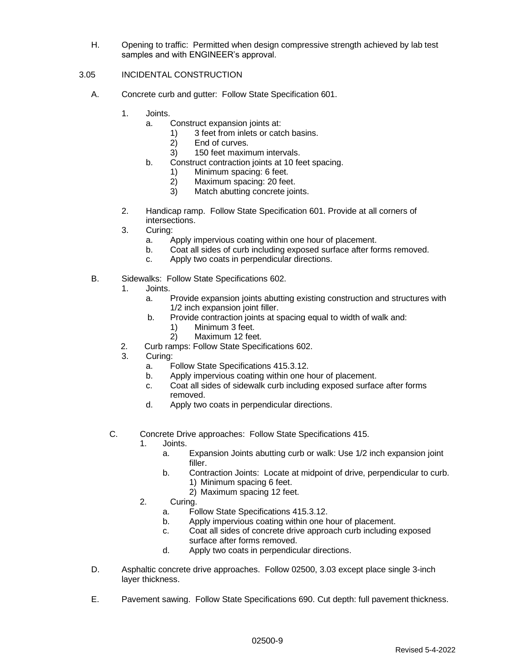H. Opening to traffic: Permitted when design compressive strength achieved by lab test samples and with ENGINEER's approval.

## 3.05 INCIDENTAL CONSTRUCTION

- A. Concrete curb and gutter: Follow State Specification 601.
	- 1. Joints.
		- a. Construct expansion joints at:
			- 1) 3 feet from inlets or catch basins.
			- 2) End of curves.
			- 3) 150 feet maximum intervals.
		- b. Construct contraction joints at 10 feet spacing.
			- 1) Minimum spacing: 6 feet.<br>2) Maximum spacing: 20 fee
			- 2) Maximum spacing: 20 feet.
			- 3) Match abutting concrete joints.
	- 2. Handicap ramp. Follow State Specification 601. Provide at all corners of intersections.
	- 3. Curing:
		- a. Apply impervious coating within one hour of placement.
		- b. Coat all sides of curb including exposed surface after forms removed.
		- c. Apply two coats in perpendicular directions.
- B. Sidewalks: Follow State Specifications 602.
	- 1. Joints.
		- a. Provide expansion joints abutting existing construction and structures with 1/2 inch expansion joint filler.
		- b. Provide contraction joints at spacing equal to width of walk and:
			- 1) Minimum 3 feet.
			- 2) Maximum 12 feet.
		- 2. Curb ramps: Follow State Specifications 602.
		- 3. Curing:
			- a. Follow State Specifications 415.3.12.
			- b. Apply impervious coating within one hour of placement.
			- c. Coat all sides of sidewalk curb including exposed surface after forms removed.
			- d. Apply two coats in perpendicular directions.
	- C. Concrete Drive approaches: Follow State Specifications 415.
		- 1. Joints.
			- a. Expansion Joints abutting curb or walk: Use 1/2 inch expansion joint filler.
			- b. Contraction Joints: Locate at midpoint of drive, perpendicular to curb. 1) Minimum spacing 6 feet.
				- 2) Maximum spacing 12 feet.
			- 2. Curing.
				- a. Follow State Specifications 415.3.12.
				- b. Apply impervious coating within one hour of placement.
				- c. Coat all sides of concrete drive approach curb including exposed surface after forms removed.
				- d. Apply two coats in perpendicular directions.
- D. Asphaltic concrete drive approaches. Follow 02500, 3.03 except place single 3-inch layer thickness.
- E. Pavement sawing. Follow State Specifications 690. Cut depth: full pavement thickness.